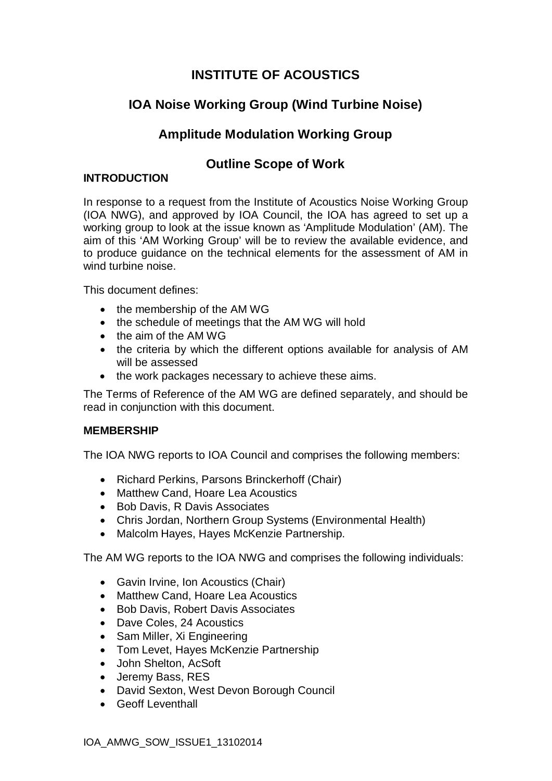# **INSTITUTE OF ACOUSTICS**

# **IOA Noise Working Group (Wind Turbine Noise)**

# **Amplitude Modulation Working Group**

## **Outline Scope of Work**

## **INTRODUCTION**

In response to a request from the Institute of Acoustics Noise Working Group (IOA NWG), and approved by IOA Council, the IOA has agreed to set up a working group to look at the issue known as 'Amplitude Modulation' (AM). The aim of this 'AM Working Group' will be to review the available evidence, and to produce guidance on the technical elements for the assessment of AM in wind turbine noise

This document defines:

- $\bullet$  the membership of the AM WG
- the schedule of meetings that the AM WG will hold
- $\bullet$  the aim of the AM WG
- the criteria by which the different options available for analysis of AM will be assessed
- the work packages necessary to achieve these aims.

The Terms of Reference of the AM WG are defined separately, and should be read in conjunction with this document.

## **MEMBERSHIP**

The IOA NWG reports to IOA Council and comprises the following members:

- Richard Perkins, Parsons Brinckerhoff (Chair)
- Matthew Cand, Hoare Lea Acoustics
- Bob Davis, R Davis Associates
- Chris Jordan, Northern Group Systems (Environmental Health)
- Malcolm Hayes, Hayes McKenzie Partnership.

The AM WG reports to the IOA NWG and comprises the following individuals:

- Gavin Irvine, Ion Acoustics (Chair)
- Matthew Cand, Hoare Lea Acoustics
- Bob Davis, Robert Davis Associates
- Dave Coles, 24 Acoustics
- Sam Miller, Xi Engineering
- Tom Levet, Hayes McKenzie Partnership
- John Shelton, AcSoft
- Jeremy Bass, RES
- David Sexton, West Devon Borough Council
- Geoff Leventhall

IOA\_AMWG\_SOW\_ISSUE1\_13102014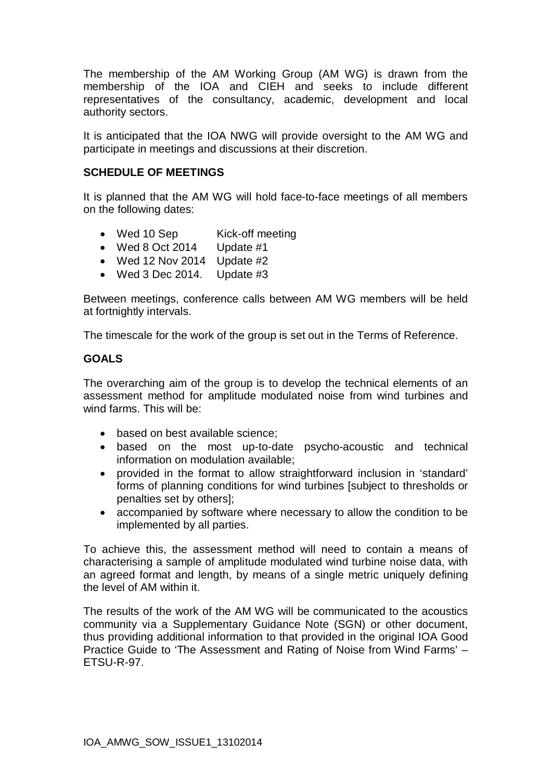The membership of the AM Working Group (AM WG) is drawn from the membership of the IOA and CIEH and seeks to include different representatives of the consultancy, academic, development and local authority sectors.

It is anticipated that the IOA NWG will provide oversight to the AM WG and participate in meetings and discussions at their discretion.

## **SCHEDULE OF MEETINGS**

It is planned that the AM WG will hold face-to-face meetings of all members on the following dates:

- Wed 10 Sep Kick-off meeting
- $\bullet$  Wed 8 Oct 2014 Update #1
- $\bullet$  Wed 12 Nov 2014 Update #2
- $\bullet$  Wed 3 Dec 2014. Update #3

Between meetings, conference calls between AM WG members will be held at fortnightly intervals.

The timescale for the work of the group is set out in the Terms of Reference.

### **GOALS**

The overarching aim of the group is to develop the technical elements of an assessment method for amplitude modulated noise from wind turbines and wind farms. This will be:

- based on best available science:
- based on the most up-to-date psycho-acoustic and technical information on modulation available;
- provided in the format to allow straightforward inclusion in 'standard' forms of planning conditions for wind turbines [subject to thresholds or penalties set by others];
- accompanied by software where necessary to allow the condition to be implemented by all parties.

To achieve this, the assessment method will need to contain a means of characterising a sample of amplitude modulated wind turbine noise data, with an agreed format and length, by means of a single metric uniquely defining the level of AM within it.

The results of the work of the AM WG will be communicated to the acoustics community via a Supplementary Guidance Note (SGN) or other document, thus providing additional information to that provided in the original IOA Good Practice Guide to 'The Assessment and Rating of Noise from Wind Farms' – ETSU-R-97.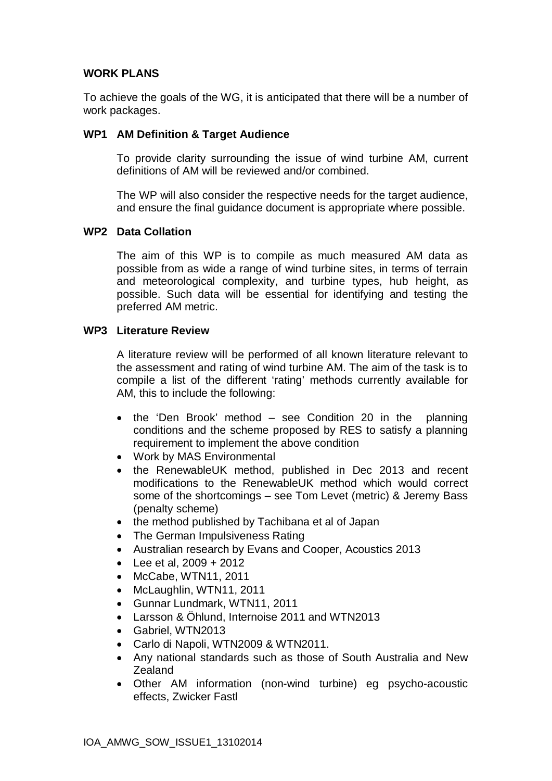## **WORK PLANS**

To achieve the goals of the WG, it is anticipated that there will be a number of work packages.

### **WP1 AM Definition & Target Audience**

To provide clarity surrounding the issue of wind turbine AM, current definitions of AM will be reviewed and/or combined.

The WP will also consider the respective needs for the target audience, and ensure the final guidance document is appropriate where possible.

#### **WP2 Data Collation**

The aim of this WP is to compile as much measured AM data as possible from as wide a range of wind turbine sites, in terms of terrain and meteorological complexity, and turbine types, hub height, as possible. Such data will be essential for identifying and testing the preferred AM metric.

#### **WP3 Literature Review**

A literature review will be performed of all known literature relevant to the assessment and rating of wind turbine AM. The aim of the task is to compile a list of the different 'rating' methods currently available for AM, this to include the following:

- $\bullet$  the 'Den Brook' method see Condition 20 in the planning conditions and the scheme proposed by RES to satisfy a planning requirement to implement the above condition
- Work by MAS Environmental
- the RenewableUK method, published in Dec 2013 and recent modifications to the RenewableUK method which would correct some of the shortcomings – see Tom Levet (metric) & Jeremy Bass (penalty scheme)
- the method published by Tachibana et al of Japan
- The German Impulsiveness Rating
- Australian research by Evans and Cooper, Acoustics 2013
- Lee et al,  $2009 + 2012$
- $\bullet$  McCabe, WTN11, 2011
- McLaughlin, WTN11, 2011
- Gunnar Lundmark, WTN11, 2011
- Larsson & Öhlund, Internoise 2011 and WTN2013
- Gabriel, WTN2013
- Carlo di Napoli, WTN2009 & WTN2011.
- Any national standards such as those of South Australia and New Zealand
- Other AM information (non-wind turbine) eg psycho-acoustic effects, Zwicker Fastl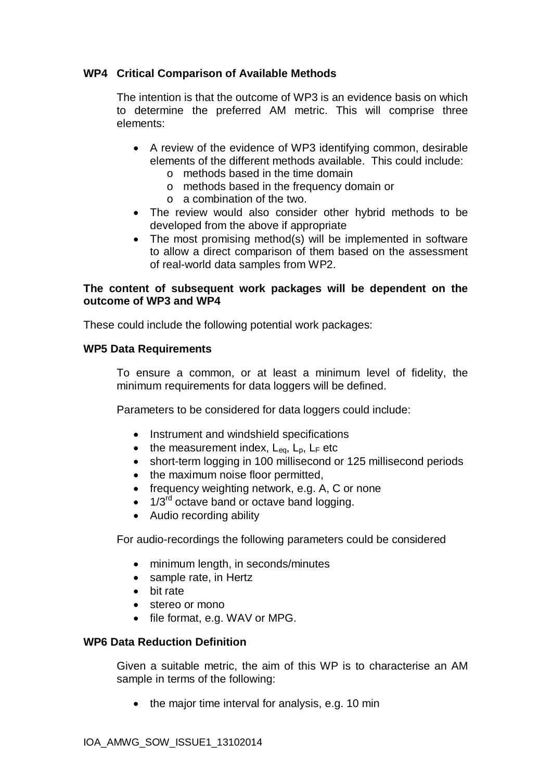## **WP4 Critical Comparison of Available Methods**

The intention is that the outcome of WP3 is an evidence basis on which to determine the preferred AM metric. This will comprise three elements:

- A review of the evidence of WP3 identifying common, desirable elements of the different methods available. This could include: o methods based in the time domain
	- o methods based in the frequency domain or
	- o a combination of the two.
- The review would also consider other hybrid methods to be developed from the above if appropriate
- The most promising method(s) will be implemented in software to allow a direct comparison of them based on the assessment of real-world data samples from WP2.

#### **The content of subsequent work packages will be dependent on the outcome of WP3 and WP4**

These could include the following potential work packages:

#### **WP5 Data Requirements**

To ensure a common, or at least a minimum level of fidelity, the minimum requirements for data loggers will be defined.

Parameters to be considered for data loggers could include:

- Instrument and windshield specifications
- the measurement index,  $L_{eq}$ ,  $L_p$ ,  $L_F$  etc
- short-term logging in 100 millisecond or 125 millisecond periods
- the maximum noise floor permitted,
- $\bullet$  frequency weighting network, e.g. A, C or none
- $\bullet$  1/3<sup>rd</sup> octave band or octave band logging.
- Audio recording ability

For audio-recordings the following parameters could be considered

- minimum length, in seconds/minutes
- sample rate, in Hertz
- $\bullet$  bit rate
- stereo or mono
- file format, e.g. WAV or MPG.

#### **WP6 Data Reduction Definition**

Given a suitable metric, the aim of this WP is to characterise an AM sample in terms of the following:

 $\bullet$  the major time interval for analysis, e.g. 10 min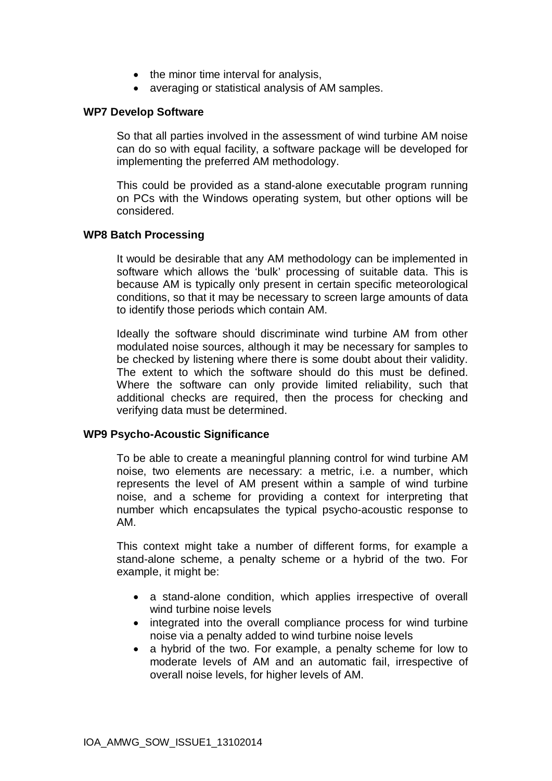- $\bullet$  the minor time interval for analysis,
- averaging or statistical analysis of AM samples.

#### **WP7 Develop Software**

So that all parties involved in the assessment of wind turbine AM noise can do so with equal facility, a software package will be developed for implementing the preferred AM methodology.

This could be provided as a stand-alone executable program running on PCs with the Windows operating system, but other options will be considered.

#### **WP8 Batch Processing**

It would be desirable that any AM methodology can be implemented in software which allows the 'bulk' processing of suitable data. This is because AM is typically only present in certain specific meteorological conditions, so that it may be necessary to screen large amounts of data to identify those periods which contain AM.

Ideally the software should discriminate wind turbine AM from other modulated noise sources, although it may be necessary for samples to be checked by listening where there is some doubt about their validity. The extent to which the software should do this must be defined. Where the software can only provide limited reliability, such that additional checks are required, then the process for checking and verifying data must be determined.

#### **WP9 Psycho-Acoustic Significance**

To be able to create a meaningful planning control for wind turbine AM noise, two elements are necessary: a metric, i.e. a number, which represents the level of AM present within a sample of wind turbine noise, and a scheme for providing a context for interpreting that number which encapsulates the typical psycho-acoustic response to AM.

This context might take a number of different forms, for example a stand-alone scheme, a penalty scheme or a hybrid of the two. For example, it might be:

- a stand-alone condition, which applies irrespective of overall wind turbine noise levels
- integrated into the overall compliance process for wind turbine noise via a penalty added to wind turbine noise levels
- a hybrid of the two. For example, a penalty scheme for low to moderate levels of AM and an automatic fail, irrespective of overall noise levels, for higher levels of AM.